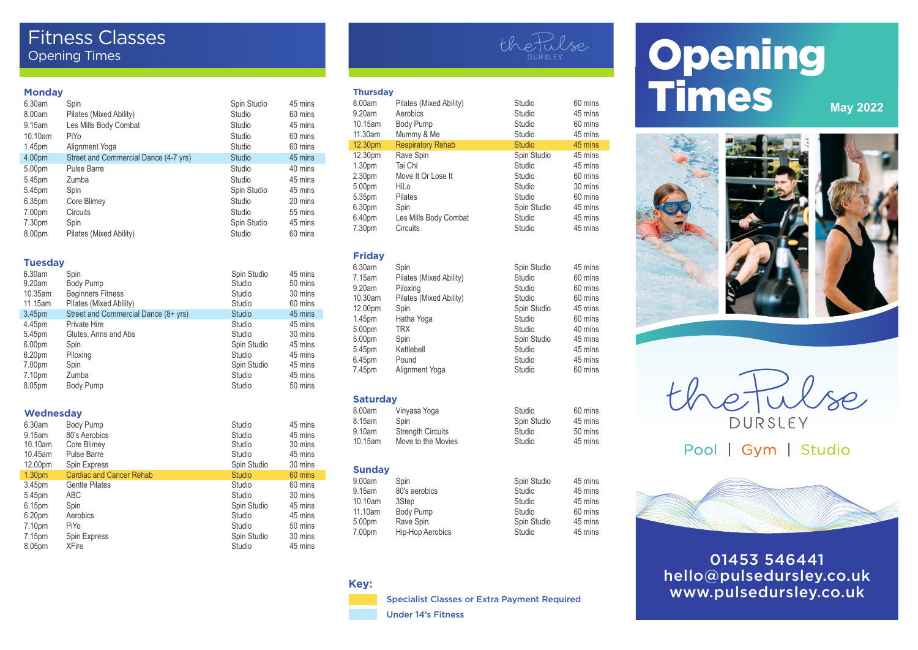# Fitness Classes Opening Times

#### **Monday**

| .       |                                       |               |         |
|---------|---------------------------------------|---------------|---------|
| 6.30am  | Spin                                  | Spin Studio   | 45 mins |
| 8.00am  | Pilates (Mixed Ability)               | Studio        | 60 mins |
| 9.15am  | Les Mills Body Combat                 | Studio        | 45 mins |
| 10.10am | PiYo                                  | Studio        | 60 mins |
| 1.45pm  | Alignment Yoga                        | Studio        | 60 mins |
| 4.00pm  | Street and Commercial Dance (4-7 yrs) | <b>Studio</b> | 45 mins |
| 5.00pm  | <b>Pulse Barre</b>                    | Studio        | 40 mins |
| 5.45pm  | Zumba                                 | Studio        | 45 mins |
| 5.45pm  | Spin                                  | Spin Studio   | 45 mins |
| 6.35pm  | Core Blimey                           | Studio        | 20 mins |
| 7.00pm  | Circuits                              | Studio        | 55 mins |
| 7.30pm  | Spin                                  | Spin Studio   | 45 mins |
| 8.00pm  | Pilates (Mixed Ability)               | Studio        | 60 mins |

#### **Tuesday**

| 6.30am<br>9.20am   | Spin<br>Body Pump                    | Spin Studio<br>Studio | 45 mins<br>50 mins |
|--------------------|--------------------------------------|-----------------------|--------------------|
| 10.35am            | <b>Beginners Fitness</b>             | Studio                | 30 mins            |
| 11.15am            | Pilates (Mixed Ability)              | Studio                | 60 mins            |
| 3.45 <sub>pm</sub> | Street and Commercial Dance (8+ yrs) | Studio                | 45 mins            |
| 4.45pm             | Private Hire                         | Studio                | 45 mins            |
| 5.45pm             | Glutes, Arms and Abs                 | Studio                | 30 mins            |
| 6.00 <sub>pm</sub> | Spin                                 | Spin Studio           | 45 mins            |
| 6.20pm             | Piloxing                             | Studio                | 45 mins            |
| 7.00pm             | Spin                                 | Spin Studio           | 45 mins            |
| 7.10pm             | Zumba                                | Studio                | 45 mins            |
| 8.05pm             | Body Pump                            | Studio                | 50 mins            |

### **Wednesday**

| 6.30am             | <b>Body Pump</b>                | Studio        | 45 mins |
|--------------------|---------------------------------|---------------|---------|
| 9.15am             | 80's Aerobics                   | Studio        | 45 mins |
| 10.10am            | Core Blimey                     | Studio        | 30 mins |
| 10.45am            | Pulse Barre                     | Studio        | 45 mins |
| 12.00pm            | Spin Express                    | Spin Studio   | 30 mins |
| 1.30 <sub>pm</sub> | <b>Cardiac and Cancer Rehab</b> | <b>Studio</b> | 60 mins |
| 3.45pm             | <b>Gentle Pilates</b>           | Studio        | 60 mins |
| 5.45pm             | ABC                             | Studio        | 30 mins |
| 6.15pm             | Spin                            | Spin Studio   | 45 mins |
| 6.20pm             | Aerobics                        | Studio        | 45 mins |
| 7.10pm             | PiYo                            | Studio        | 50 mins |
| 7.15pm             | Spin Express                    | Spin Studio   | 30 mins |
| 8.05pm             | <b>XFire</b>                    | Studio        | 45 mins |
|                    |                                 |               |         |



#### **Thursday**

| .                  |                          |               |         |
|--------------------|--------------------------|---------------|---------|
| 8.00am             | Pilates (Mixed Ability)  | Studio        | 60 mins |
| 9.20am             | Aerobics                 | Studio        | 45 mins |
| 10.15am            | Body Pump                | Studio        | 60 mins |
| 11.30am            | Mummy & Me               | Studio        | 45 mins |
| 12.30pm            | <b>Respiratory Rehab</b> | <b>Studio</b> | 45 mins |
| 12.30pm            | Rave Spin                | Spin Studio   | 45 mins |
| 1.30 <sub>pm</sub> | Tai Chi                  | Studio        | 45 mins |
| 2.30pm             | Move It Or Lose It       | Studio        | 60 mins |
| 5.00pm             | HiLo                     | Studio        | 30 mins |
| 5.35pm             | Pilates                  | Studio        | 60 mins |
| 6.30pm             | Spin                     | Spin Studio   | 45 mins |
| 6.40pm             | Les Mills Body Combat    | Studio        | 45 mins |
| 7.30pm             | <b>Circuits</b>          | Studio        | 45 mins |

### **Friday**

| 6.30am  | Spin                    | Spin Studio | 45 mins |
|---------|-------------------------|-------------|---------|
| 7.15am  | Pilates (Mixed Ability) | Studio      | 60 mins |
| 9.20am  | Piloxing                | Studio      | 60 mins |
| 10.30am | Pilates (Mixed Ability) | Studio      | 60 mins |
| 12.00pm | Spin                    | Spin Studio | 45 mins |
| 1.45pm  | Hatha Yoga              | Studio      | 60 mins |
| 5.00pm  | TRX                     | Studio      | 40 mins |
| 5.00pm  | Spin                    | Spin Studio | 45 mins |
| 5.45pm  | Kettlebell              | Studio      | 45 mins |
| 6.45pm  | Pound                   | Studio      | 45 mins |
| 7.45pm  | Alignment Yoga          | Studio      | 60 mins |
|         |                         |             |         |

#### **Saturday**

| 8.00am  | Vinyasa Yoga             | Studio      | 60 mins |
|---------|--------------------------|-------------|---------|
| 8.15am  | Spin                     | Spin Studio | 45 mins |
| 9.10am  | <b>Strength Circuits</b> | Studio      | 50 mins |
| 10.15am | Move to the Movies       | Studio      | 45 mins |
|         |                          |             |         |

# **Sunday**<br>9.00am

| 9.00am  | Spin                    | Spin Studio | 45 mins |
|---------|-------------------------|-------------|---------|
| 9.15am  | 80's aerobics           | Studio      | 45 mins |
| 10.10am | 3Step                   | Studio      | 45 mins |
| 11.10am | Body Pump               | Studio      | 60 mins |
| 5.00pm  | Rave Spin               | Spin Studio | 45 mins |
| 7.00pm  | <b>Hip-Hop Aerobics</b> | Studio      | 45 mins |
|         |                         |             |         |

### **Key:**

Specialist Classes or Extra Payment Required

Under 14's Fitness

# **Opening Times** May 2022



heFulse DURSLEY

# Pool | Gym | Studio



01453 546441 hello@pulsedursley.co.uk www.pulsedursley.co.uk